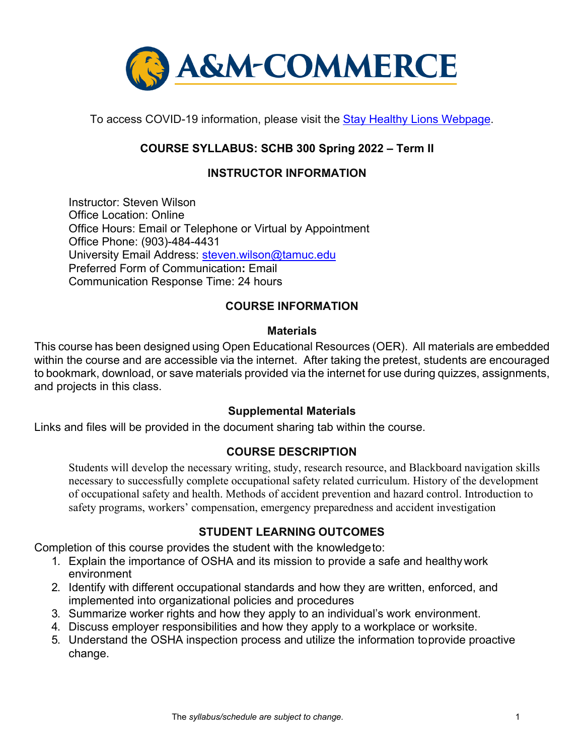

To access COVID-19 information, please visit the **Stay Healthy Lions Webpage**.

## **COURSE SYLLABUS: SCHB 300 Spring 2022 – Term II**

## **INSTRUCTOR INFORMATION**

Instructor: Steven Wilson Office Location: Online Office Hours: Email or Telephone or Virtual by Appointment Office Phone: (903)-484-4431 University Email Address: [steven.wilson@tamuc.edu](mailto:steven.wilson@tamuc.edu) Preferred Form of Communication**:** Email Communication Response Time: 24 hours

## **COURSE INFORMATION**

#### **Materials**

This course has been designed using Open Educational Resources (OER). All materials are embedded within the course and are accessible via the internet. After taking the pretest, students are encouraged to bookmark, download, or save materials provided via the internet for use during quizzes, assignments, and projects in this class.

#### **Supplemental Materials**

Links and files will be provided in the document sharing tab within the course.

#### **[COURSE DESCRIPTION](http://catalog.tamuc.edu/undergrad/colleges-and-departments/college-of-innovation-design/baas-organizational-leadership/?_ga=2.81546143.928332977.1616426723-584154711.1595512675)**

Students will develop the necessary writing, study, research resource, and Blackboard navigation skills necessary to successfully complete occupational safety related curriculum. History of the development of occupational safety and health. Methods of accident prevention and hazard control. Introduction to safety programs, workers' compensation, emergency preparedness and accident investigation

#### **STUDENT LEARNING OUTCOMES**

Completion of this course provides the student with the knowledgeto:

- 1. Explain the importance of OSHA and its mission to provide a safe and healthywork environment
- 2. Identify with different occupational standards and how they are written, enforced, and implemented into organizational policies and procedures
- 3. Summarize worker rights and how they apply to an individual's work environment.
- 4. Discuss employer responsibilities and how they apply to a workplace or worksite.
- 5. Understand the OSHA inspection process and utilize the information toprovide proactive change.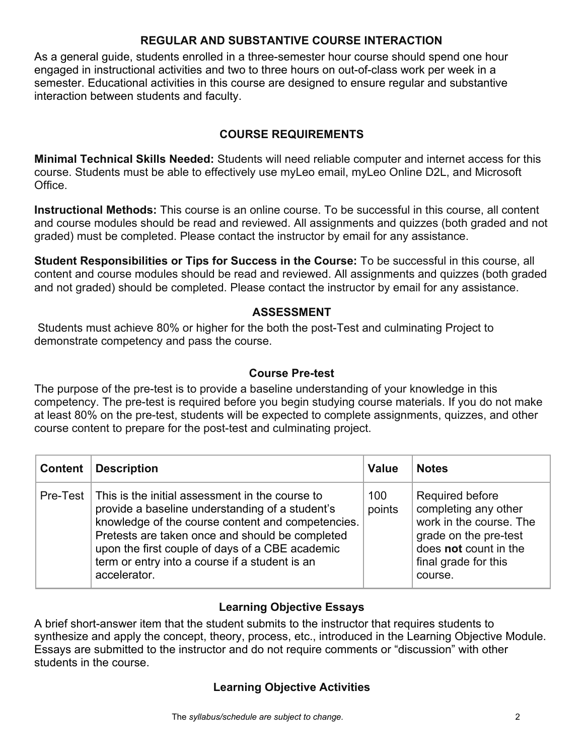## **REGULAR AND SUBSTANTIVE COURSE INTERACTION**

As a general guide, students enrolled in a three-semester hour course should spend one hour engaged in instructional activities and two to three hours on out-of-class work per week in a semester. Educational activities in this course are designed to ensure regular and substantive interaction between students and faculty.

## **COURSE REQUIREMENTS**

**Minimal Technical Skills Needed:** Students will need reliable computer and internet access for this course. Students must be able to effectively use myLeo email, myLeo Online D2L, and Microsoft Office.

**Instructional Methods:** This course is an online course. To be successful in this course, all content and course modules should be read and reviewed. All assignments and quizzes (both graded and not graded) must be completed. Please contact the instructor by email for any assistance.

**Student Responsibilities or Tips for Success in the Course:** To be successful in this course, all content and course modules should be read and reviewed. All assignments and quizzes (both graded and not graded) should be completed. Please contact the instructor by email for any assistance.

## **ASSESSMENT**

Students must achieve 80% or higher for the both the post-Test and culminating Project to demonstrate competency and pass the course.

## **Course Pre-test**

The purpose of the pre-test is to provide a baseline understanding of your knowledge in this competency. The pre-test is required before you begin studying course materials. If you do not make at least 80% on the pre-test, students will be expected to complete assignments, quizzes, and other course content to prepare for the post-test and culminating project.

| Content $\ $ | <b>Description</b>                                                                                                                                                                                                                                                                                                                         | <b>Value</b>  | <b>Notes</b>                                                                                                                                            |
|--------------|--------------------------------------------------------------------------------------------------------------------------------------------------------------------------------------------------------------------------------------------------------------------------------------------------------------------------------------------|---------------|---------------------------------------------------------------------------------------------------------------------------------------------------------|
|              | Pre-Test   This is the initial assessment in the course to<br>provide a baseline understanding of a student's<br>knowledge of the course content and competencies.<br>Pretests are taken once and should be completed<br>upon the first couple of days of a CBE academic<br>term or entry into a course if a student is an<br>accelerator. | 100<br>points | Required before<br>completing any other<br>work in the course. The<br>grade on the pre-test<br>does not count in the<br>final grade for this<br>course. |

## **Learning Objective Essays**

A brief short-answer item that the student submits to the instructor that requires students to synthesize and apply the concept, theory, process, etc., introduced in the Learning Objective Module. Essays are submitted to the instructor and do not require comments or "discussion" with other students in the course.

## **Learning Objective Activities**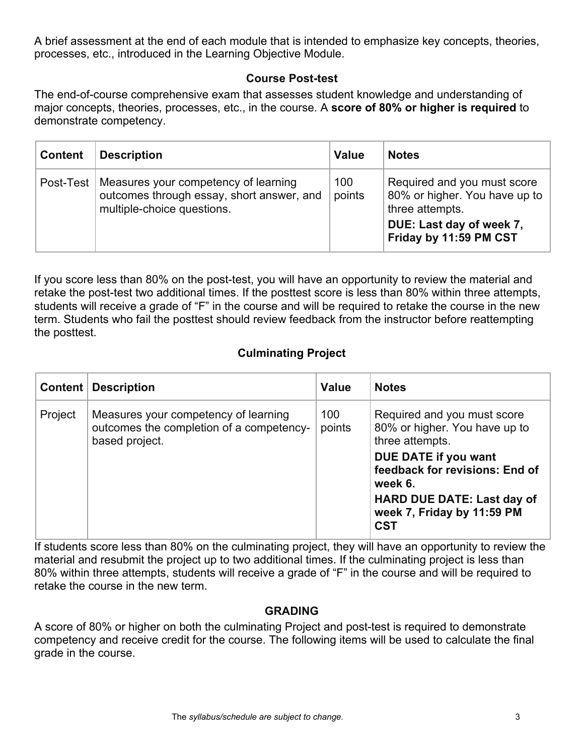A brief assessment at the end of each module that is intended to emphasize key concepts, theories, processes, etc., introduced in the Learning Objective Module.

## **Course Post-test**

The end-of-course comprehensive exam that assesses student knowledge and understanding of major concepts, theories, processes, etc., in the course. A **score of 80% or higher is required** to demonstrate competency.

| <b>Content</b> | <b>Description</b>                                                                                              | <b>Value</b>  | <b>Notes</b>                                                                                                                            |
|----------------|-----------------------------------------------------------------------------------------------------------------|---------------|-----------------------------------------------------------------------------------------------------------------------------------------|
| Post-Test $ $  | Measures your competency of learning<br>outcomes through essay, short answer, and<br>multiple-choice questions. | 100<br>points | Required and you must score<br>80% or higher. You have up to  <br>three attempts.<br>DUE: Last day of week 7,<br>Friday by 11:59 PM CST |

If you score less than 80% on the post-test, you will have an opportunity to review the material and retake the post-test two additional times. If the posttest score is less than 80% within three attempts, students will receive a grade of "F" in the course and will be required to retake the course in the new term. Students who fail the posttest should review feedback from the instructor before reattempting the posttest.

## **Culminating Project**

|         | <b>Content   Description</b>                                                                       | <b>Value</b>  | <b>Notes</b>                                                                                                                                       |
|---------|----------------------------------------------------------------------------------------------------|---------------|----------------------------------------------------------------------------------------------------------------------------------------------------|
| Project | Measures your competency of learning<br>outcomes the completion of a competency-<br>based project. | 100<br>points | Required and you must score<br>80% or higher. You have up to<br>three attempts.                                                                    |
|         |                                                                                                    |               | DUE DATE if you want<br>feedback for revisions: End of<br>week 6.<br><b>HARD DUE DATE: Last day of</b><br>week 7, Friday by 11:59 PM<br><b>CST</b> |

If students score less than 80% on the culminating project, they will have an opportunity to review the material and resubmit the project up to two additional times. If the culminating project is less than 80% within three attempts, students will receive a grade of "F" in the course and will be required to retake the course in the new term.

## **GRADING**

A score of 80% or higher on both the culminating Project and post-test is required to demonstrate competency and receive credit for the course. The following items will be used to calculate the final grade in the course.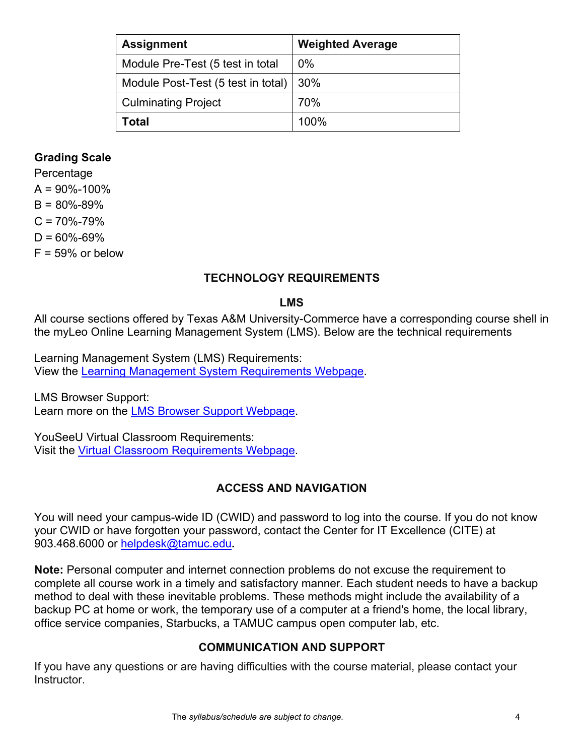| <b>Assignment</b>                  | <b>Weighted Average</b> |
|------------------------------------|-------------------------|
| Module Pre-Test (5 test in total   | $0\%$                   |
| Module Post-Test (5 test in total) | 30%                     |
| <b>Culminating Project</b>         | 70%                     |
| Total                              | 100%                    |

### **Grading Scale**

Percentage  $A = 90\% - 100\%$  $B = 80\% - 89\%$  $C = 70\% - 79\%$  $D = 60\% - 69\%$  $F = 59\%$  or below

### **TECHNOLOGY REQUIREMENTS**

#### **LMS**

All course sections offered by Texas A&M University-Commerce have a corresponding course shell in the myLeo Online Learning Management System (LMS). Below are the technical requirements

Learning Management System (LMS) Requirements: View the [Learning Management System Requirements Webpage.](https://community.brightspace.com/s/article/Brightspace-Platform-Requirements)

LMS Browser Support: Learn more on the [LMS Browser Support Webpage.](https://documentation.brightspace.com/EN/brightspace/requirements/all/browser_support.htm)

YouSeeU Virtual Classroom Requirements: Visit the [Virtual Classroom Requirements Webpage.](https://support.youseeu.com/hc/en-us/articles/115007031107-Basic-System-Requirements)

## **ACCESS AND NAVIGATION**

You will need your campus-wide ID (CWID) and password to log into the course. If you do not know your CWID or have forgotten your password, contact the Center for IT Excellence (CITE) at 903.468.6000 or [helpdesk@tamuc.edu](mailto:helpdesk@tamuc.edu)**.**

**Note:** Personal computer and internet connection problems do not excuse the requirement to complete all course work in a timely and satisfactory manner. Each student needs to have a backup method to deal with these inevitable problems. These methods might include the availability of a backup PC at home or work, the temporary use of a computer at a friend's home, the local library, office service companies, Starbucks, a TAMUC campus open computer lab, etc.

#### **COMMUNICATION AND SUPPORT**

If you have any questions or are having difficulties with the course material, please contact your Instructor.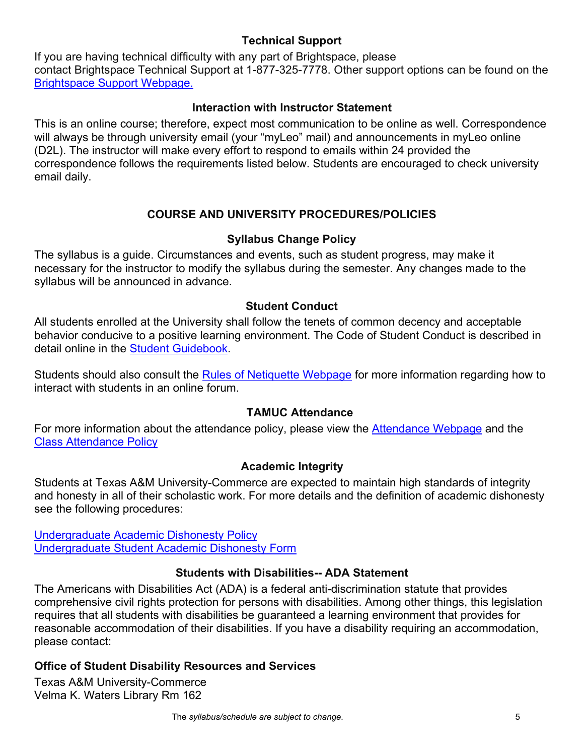## **Technical Support**

If you are having technical difficulty with any part of Brightspace, please contact Brightspace Technical Support at 1-877-325-7778. Other support options can be found on the [Brightspace Support Webpage.](https://community.brightspace.com/support/s/contactsupport)

## **Interaction with Instructor Statement**

This is an online course; therefore, expect most communication to be online as well. Correspondence will always be through university email (your "myLeo" mail) and announcements in myLeo online (D2L). The instructor will make every effort to respond to emails within 24 provided the correspondence follows the requirements listed below. Students are encouraged to check university email daily.

# **COURSE AND UNIVERSITY PROCEDURES/POLICIES**

## **Syllabus Change Policy**

The syllabus is a guide. Circumstances and events, such as student progress, may make it necessary for the instructor to modify the syllabus during the semester. Any changes made to the syllabus will be announced in advance.

## **Student Conduct**

All students enrolled at the University shall follow the tenets of common decency and acceptable behavior conducive to a positive learning environment. The Code of Student Conduct is described in detail online in the [Student Guidebook.](http://www.tamuc.edu/Admissions/oneStopShop/undergraduateAdmissions/studentGuidebook.aspx)

Students should also consult the [Rules of Netiquette Webpage](https://www.britannica.com/topic/netiquette) for more information regarding how to interact with students in an online forum.

## **TAMUC Attendance**

For more information about the attendance policy, please view the [Attendance Webpage](http://www.tamuc.edu/admissions/registrar/generalInformation/attendance.aspx) and the Class [Attendance Policy](http://www.tamuc.edu/aboutUs/policiesProceduresStandardsStatements/rulesProcedures/13students/academic/13.99.99.R0.01.pdf)

## **Academic Integrity**

Students at Texas A&M University-Commerce are expected to maintain high standards of integrity and honesty in all of their scholastic work. For more details and the definition of academic dishonesty see the following procedures:

[Undergraduate Academic Dishonesty P](http://www.tamuc.edu/aboutUs/policiesProceduresStandardsStatements/rulesProcedures/13students/undergraduates/13.99.99.R0.03UndergraduateAcademicDishonesty.pdf)olicy [Undergraduate Student Academic Dishonesty Form](http://www.tamuc.edu/aboutUs/policiesProceduresStandardsStatements/rulesProcedures/documents/13.99.99.R0.03UndergraduateStudentAcademicDishonestyForm.pdf)

## **Students with Disabilities-- ADA Statement**

The Americans with Disabilities Act (ADA) is a federal anti-discrimination statute that provides comprehensive civil rights protection for persons with disabilities. Among other things, this legislation requires that all students with disabilities be guaranteed a learning environment that provides for reasonable accommodation of their disabilities. If you have a disability requiring an accommodation, please contact:

## **Office of Student Disability Resources and Services**

Texas A&M University-Commerce Velma K. Waters Library Rm 162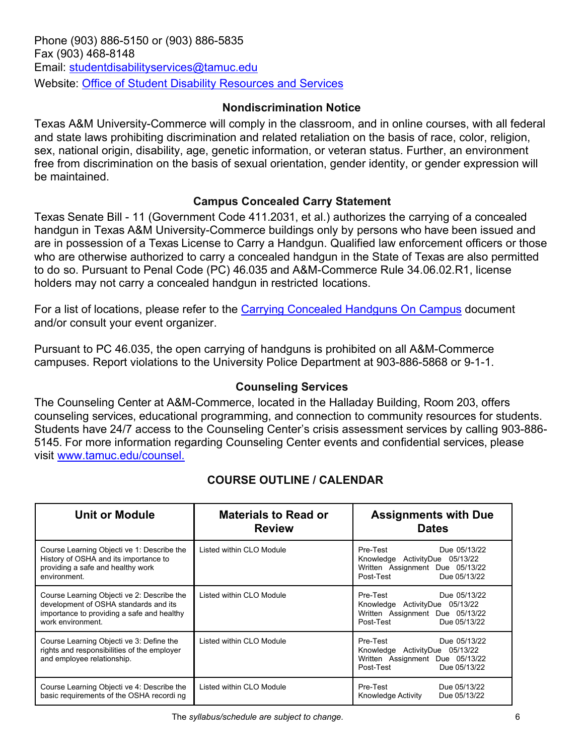## **Nondiscrimination Notice**

Texas A&M University-Commerce will comply in the classroom, and in online courses, with all federal and state laws prohibiting discrimination and related retaliation on the basis of race, color, religion, sex, national origin, disability, age, genetic information, or veteran status. Further, an environment free from discrimination on the basis of sexual orientation, gender identity, or gender expression will be maintained.

## **Campus Concealed Carry Statement**

Texas Senate Bill - 11 (Government Code 411.2031, et al.) authorizes the carrying of a concealed handgun in Texas A&M University-Commerce buildings only by persons who have been issued and are in possession of a Texas License to Carry a Handgun. Qualified law enforcement officers or those who are otherwise authorized to carry a concealed handgun in the State of Texas are also permitted to do so. Pursuant to Penal Code (PC) 46.035 and A&M-Commerce Rule 34.06.02.R1, license holders may not carry a concealed handgun in restricted locations.

For a list of locations, please refer to the [Carrying Concealed Handguns On Campus](http://www.tamuc.edu/aboutUs/policiesProceduresStandardsStatements/rulesProcedures/34SafetyOfEmployeesAndStudents/34.06.02.R1.pdf) document and/or consult your event organizer.

Pursuant to PC 46.035, the open carrying of handguns is prohibited on all A&M-Commerce campuses. Report violations to the University Police Department at 903-886-5868 or 9-1-1.

## **Counseling Services**

The Counseling Center at A&M-Commerce, located in the Halladay Building, Room 203, offers counseling services, educational programming, and connection to community resources for students. Students have 24/7 access to the Counseling Center's crisis assessment services by calling 903-886- 5145. For more information regarding Counseling Center events and confidential services, please visit [www.tamuc.edu/counsel.](http://www.tamuc.edu/counsel)

| <b>Unit or Module</b>                                                                                                                                  | <b>Materials to Read or</b><br><b>Review</b> | <b>Assignments with Due</b><br><b>Dates</b>                                                                                                 |
|--------------------------------------------------------------------------------------------------------------------------------------------------------|----------------------------------------------|---------------------------------------------------------------------------------------------------------------------------------------------|
| Course Learning Objecti ve 1: Describe the<br>History of OSHA and its importance to<br>providing a safe and healthy work<br>environment.               | Listed within CLO Module                     | Due 05/13/22<br>Pre-Test<br>Knowledge ActivityDue 05/13/22<br>Written Assignment Due 05/13/22<br>Post-Test<br>Due 05/13/22                  |
| Course Learning Objecti ve 2: Describe the<br>development of OSHA standards and its<br>importance to providing a safe and healthy<br>work environment. | Listed within CLO Module                     | Pre-Test<br>Due 05/13/22<br>Knowledge ActivityDue 05/13/22<br>Written Assignment Due 05/13/22<br>Post-Test <b>Propriate</b><br>Due 05/13/22 |
| Course Learning Objecti ve 3: Define the<br>rights and responsibilities of the employer<br>and employee relationship.                                  | Listed within CLO Module                     | Pre-Test<br>Due 05/13/22<br>Knowledge ActivityDue 05/13/22<br>Written Assignment Due 05/13/22<br>Post-Test<br>Due 05/13/22                  |
| Course Learning Objecti ve 4: Describe the<br>basic requirements of the OSHA recordi ng                                                                | Listed within CLO Module                     | Pre-Test<br>Due 05/13/22<br>Due 05/13/22<br>Knowledge Activity                                                                              |

# **COURSE OUTLINE / CALENDAR**